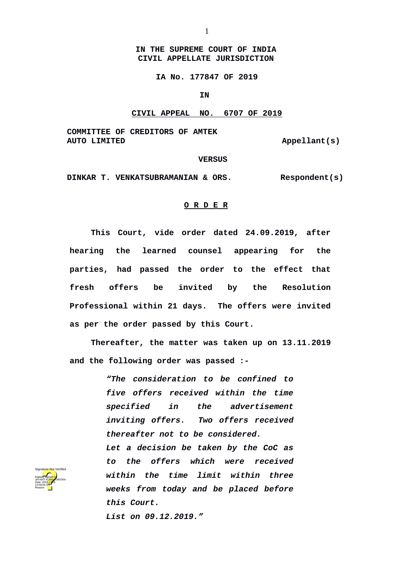## **IN THE SUPREME COURT OF INDIA CIVIL APPELLATE JURISDICTION**

1

**IA No. 177847 OF 2019**

**IN** 

## **CIVIL APPEAL NO. 6707 OF 2019**

**COMMITTEE OF CREDITORS OF AMTEK** 

Appellant(s)

 **VERSUS**

**DINKAR T. VENKATSUBRAMANIAN & ORS. Respondent(s)**

## **O R D E R**

**This Court, vide order dated 24.09.2019, after hearing the learned counsel appearing for the parties, had passed the order to the effect that fresh offers be invited by the Resolution Professional within 21 days. The offers were invited as per the order passed by this Court.** 

**Thereafter, the matter was taken up on 13.11.2019 and the following order was passed :-**

> *"The consideration to be confined to five offers received within the time specified in the advertisement inviting offers. Two offers received thereafter not to be considered.*

> *Let a decision be taken by the CoC as to the offers which were received within the time limit within three weeks from today and be placed before this Court.*

*List on 09.12.2019."*

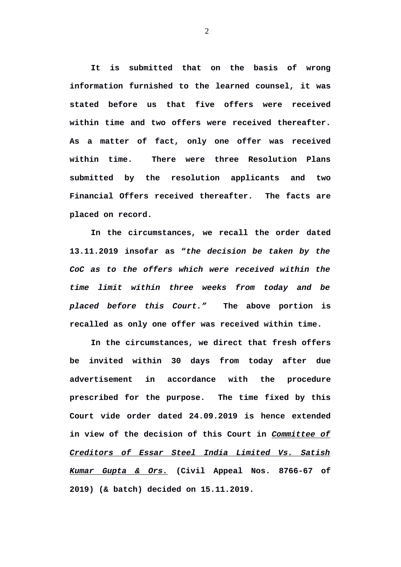**It is submitted that on the basis of wrong information furnished to the learned counsel, it was stated before us that five offers were received within time and two offers were received thereafter. As a matter of fact, only one offer was received within time. There were three Resolution Plans submitted by the resolution applicants and two Financial Offers received thereafter. The facts are placed on record.** 

**In the circumstances, we recall the order dated 13.11.2019 insofar as "***the decision be taken by the CoC as to the offers which were received within the time limit within three weeks from today and be placed before this Court."* **The above portion is recalled as only one offer was received within time.** 

**In the circumstances, we direct that fresh offers be invited within 30 days from today after due advertisement in accordance with the procedure prescribed for the purpose. The time fixed by this Court vide order dated 24.09.2019 is hence extended in view of the decision of this Court in** *Committee of Creditors of Essar Steel India Limited Vs. Satish Kumar Gupta & Ors.* **(Civil Appeal Nos. 8766-67 of 2019) (& batch) decided on 15.11.2019.** 

2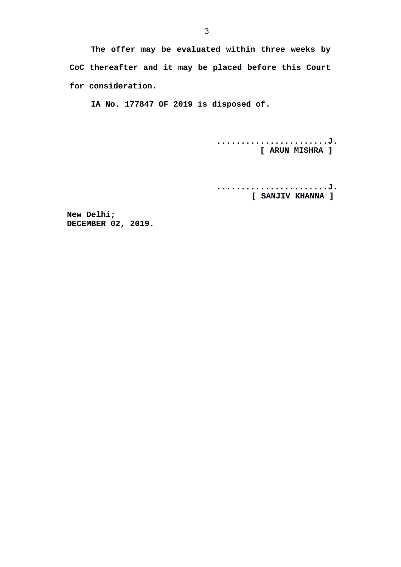**The offer may be evaluated within three weeks by CoC thereafter and it may be placed before this Court for consideration.**

**IA No. 177847 OF 2019 is disposed of.** 

**.......................J. [ ARUN MISHRA ]** 

**.......................J. [ SANJIV KHANNA ]** 

**New Delhi; DECEMBER 02, 2019.**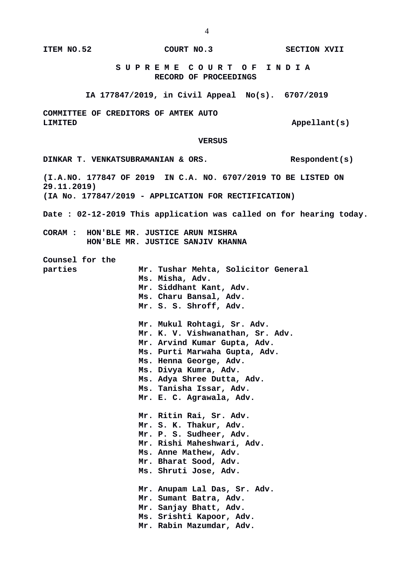**ITEM NO.52 COURT NO.3 SECTION XVII** 

 **S U P R E M E C O U R T O F I N D I A RECORD OF PROCEEDINGS**

**IA 177847/2019, in Civil Appeal No(s). 6707/2019**

**COMMITTEE OF CREDITORS OF AMTEK AUTO**  LIMITED **Appellant** (s)

 **VERSUS**

DINKAR T. VENKATSUBRAMANIAN & ORS. Respondent(s) **(I.A.NO. 177847 OF 2019 IN C.A. NO. 6707/2019 TO BE LISTED ON 29.11.2019) (IA No. 177847/2019 - APPLICATION FOR RECTIFICATION) Date : 02-12-2019 This application was called on for hearing today. CORAM : HON'BLE MR. JUSTICE ARUN MISHRA HON'BLE MR. JUSTICE SANJIV KHANNA Counsel for the parties Mr. Tushar Mehta, Solicitor General Ms. Misha, Adv. Mr. Siddhant Kant, Adv. Ms. Charu Bansal, Adv. Mr. S. S. Shroff, Adv. Mr. Mukul Rohtagi, Sr. Adv. Mr. K. V. Vishwanathan, Sr. Adv. Mr. Arvind Kumar Gupta, Adv. Ms. Purti Marwaha Gupta, Adv. Ms. Henna George, Adv. Ms. Divya Kumra, Adv. Ms. Adya Shree Dutta, Adv. Ms. Tanisha Issar, Adv. Mr. E. C. Agrawala, Adv. Mr. Ritin Rai, Sr. Adv. Mr. S. K. Thakur, Adv. Mr. P. S. Sudheer, Adv. Mr. Rishi Maheshwari, Adv. Ms. Anne Mathew, Adv. Mr. Bharat Sood, Adv. Ms. Shruti Jose, Adv. Mr. Anupam Lal Das, Sr. Adv. Mr. Sumant Batra, Adv. Mr. Sanjay Bhatt, Adv. Ms. Srishti Kapoor, Adv. Mr. Rabin Mazumdar, Adv.**